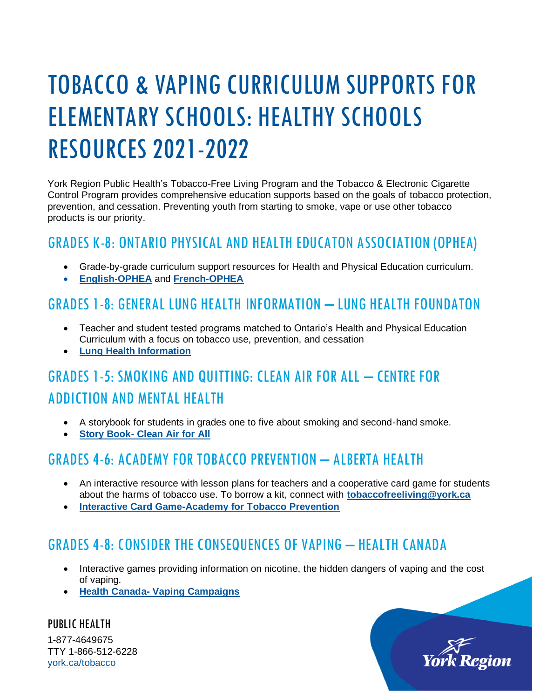# TOBACCO & VAPING CURRICULUM SUPPORTS FOR ELEMENTARY SCHOOLS: HEALTHY SCHOOLS RESOURCES 2021-2022

York Region Public Health's Tobacco-Free Living Program and the Tobacco & Electronic Cigarette Control Program provides comprehensive education supports based on the goals of tobacco protection, prevention, and cessation. Preventing youth from starting to smoke, vape or use other tobacco products is our priority.

#### GRADES K-8: ONTARIO PHYSICAL AND HEALTH EDUCATON ASSOCIATION (OPHEA)

- Grade-by-grade curriculum support resources for Health and Physical Education curriculum.
- **[English-OPHEA](http://www.ophea.net/)** and **[French-OPHEA](http://www.ophea.net/fr)**

#### GRADES 1-8: GENERAL LUNG HEALTH INFORMATION – LUNG HEALTH FOUNDATON

- Teacher and student tested programs matched to Ontario's Health and Physical Education Curriculum with a focus on tobacco use, prevention, and cessation
- **[Lung Health Information](https://lunghealth.ca/support-resources/)**

## GRADES 1-5: SMOKING AND QUITTING: CLEAN AIR FOR ALL – CENTRE FOR ADDICTION AND MENTAL HEALTH

- A storybook for students in grades one to five about smoking and second-hand smoke.
- **Story Book- [Clean Air for All](http://www.camh.ca/-/media/files/guides-and-publications/smoking-and-quitting-en.pdf)**

## GRADES 4-6: ACADEMY FOR TOBACCO PREVENTION – ALBERTA HEALTH

- An interactive resource with lesson plans for teachers and a cooperative card game for students about the harms of tobacco use. To borrow a kit, connect with **[tobaccofreeliving@york.ca](mailto:tobaccofreeliving@york.ca)**
- **[Interactive Card Game-Academy for Tobacco Prevention](https://academy.albertaquits.ca/)**

## GRADES 4-8: CONSIDER THE CONSEQUENCES OF VAPING – HEALTH CANADA

• Interactive games providing information on nicotine, the hidden dangers of vaping and the cost of vaping.

York Region

• **Health Canada- [Vaping Campaigns](file:///C:/Users/keffer-lyont/AppData/Roaming/OpenText/DM/Temp/•%09https:/www.canada.ca/en/services/health/campaigns/vaping.html%3futm_source=canada-ca-vaping-info-en&utm_medium=vurl&utm_campaign=vurl)** 

PUBLIC HEALTH 1-877-4649675 TTY 1-866-512-6228 [york.ca/tobacco](http://www.york.ca/tobacco)